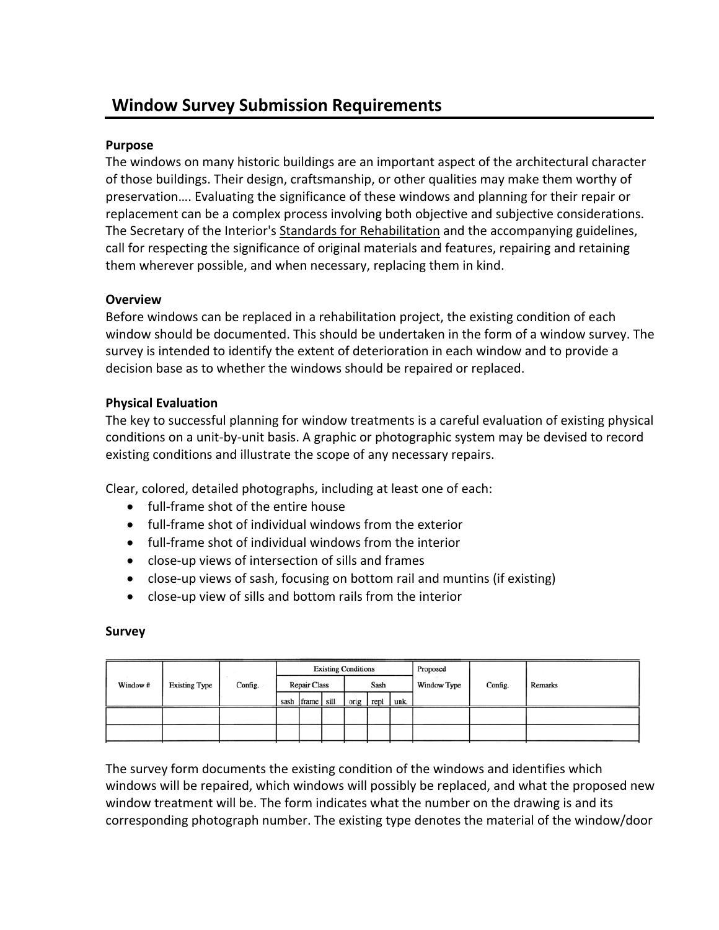# **Window Survey Submission Requirements**

### **Purpose**

The windows on many historic buildings are an important aspect of the architectural character of those buildings. Their design, craftsmanship, or other qualities may make them worthy of preservation…. Evaluating the significance of these windows and planning for their repair or replacement can be a complex process involving both objective and subjective considerations. The Secretary of the Interior's Standards for Rehabilitation and the accompanying guidelines, call for respecting the significance of original materials and features, repairing and retaining them wherever possible, and when necessary, replacing them in kind.

#### **Overview**

Before windows can be replaced in a rehabilitation project, the existing condition of each window should be documented. This should be undertaken in the form of a window survey. The survey is intended to identify the extent of deterioration in each window and to provide a decision base as to whether the windows should be repaired or replaced.

#### **Physical Evaluation**

The key to successful planning for window treatments is a careful evaluation of existing physical conditions on a unit‐by‐unit basis. A graphic or photographic system may be devised to record existing conditions and illustrate the scope of any necessary repairs.

Clear, colored, detailed photographs, including at least one of each:

- full-frame shot of the entire house
- full-frame shot of individual windows from the exterior
- full-frame shot of individual windows from the interior
- close‐up views of intersection of sills and frames
- close-up views of sash, focusing on bottom rail and muntins (if existing)
- close‐up view of sills and bottom rails from the interior

#### **Survey**

|         |                      |         | <b>Existing Conditions</b> |                 |      |           |  |             | Proposed |                |  |
|---------|----------------------|---------|----------------------------|-----------------|------|-----------|--|-------------|----------|----------------|--|
| Window# | <b>Existing Type</b> | Config. | <b>Repair Class</b>        |                 | Sash |           |  | Window Type | Config.  | <b>Remarks</b> |  |
|         |                      |         |                            | sash frame sill |      | orig repl |  | unk.        |          |                |  |
|         |                      |         |                            |                 |      |           |  |             |          |                |  |
|         |                      |         |                            |                 |      |           |  |             |          |                |  |

The survey form documents the existing condition of the windows and identifies which windows will be repaired, which windows will possibly be replaced, and what the proposed new window treatment will be. The form indicates what the number on the drawing is and its corresponding photograph number. The existing type denotes the material of the window/door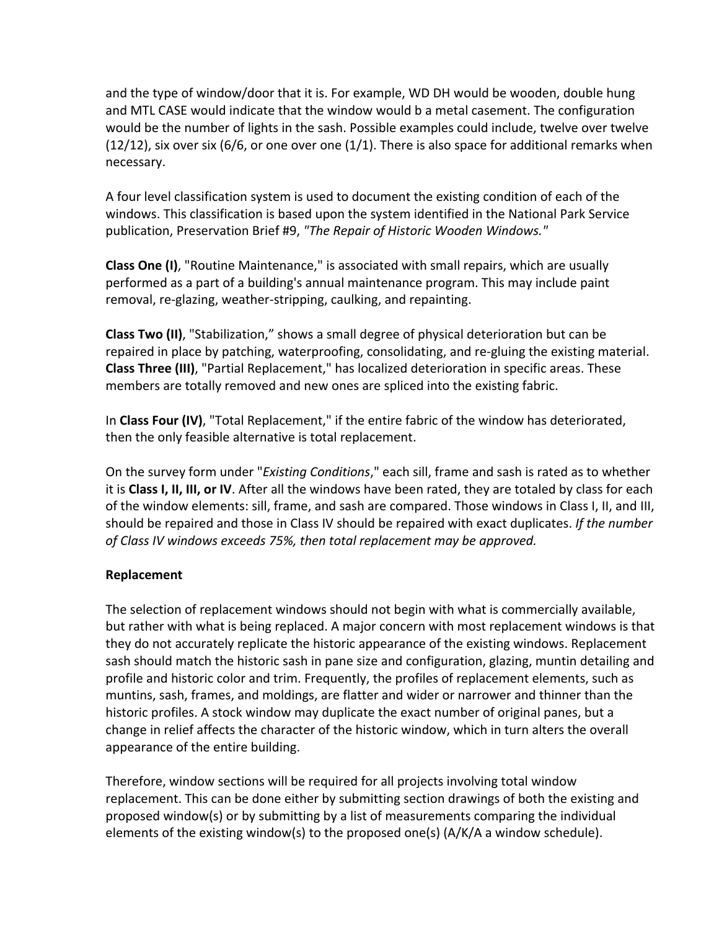and the type of window/door that it is. For example, WD DH would be wooden, double hung and MTL CASE would indicate that the window would b a metal casement. The configuration would be the number of lights in the sash. Possible examples could include, twelve over twelve  $(12/12)$ , six over six (6/6, or one over one  $(1/1)$ . There is also space for additional remarks when necessary.

A four level classification system is used to document the existing condition of each of the windows. This classification is based upon the system identified in the National Park Service publication, Preservation Brief #9, *"The Repair of Historic Wooden Windows."*

**Class One (I)**, "Routine Maintenance," is associated with small repairs, which are usually performed as a part of a building's annual maintenance program. This may include paint removal, re‐glazing, weather‐stripping, caulking, and repainting.

**Class Two (II)**, "Stabilization," shows a small degree of physical deterioration but can be repaired in place by patching, waterproofing, consolidating, and re‐gluing the existing material. **Class Three (III)**, "Partial Replacement," has localized deterioration in specific areas. These members are totally removed and new ones are spliced into the existing fabric.

In **Class Four (IV)**, "Total Replacement," if the entire fabric of the window has deteriorated, then the only feasible alternative is total replacement.

On the survey form under "*Existing Conditions*," each sill, frame and sash is rated as to whether it is **Class I, II, III, or IV**. After all the windows have been rated, they are totaled by class for each of the window elements: sill, frame, and sash are compared. Those windows in Class I, II, and III, should be repaired and those in Class IV should be repaired with exact duplicates. *If the number of Class IV windows exceeds 75%, then total replacement may be approved.*

## **Replacement**

The selection of replacement windows should not begin with what is commercially available, but rather with what is being replaced. A major concern with most replacement windows is that they do not accurately replicate the historic appearance of the existing windows. Replacement sash should match the historic sash in pane size and configuration, glazing, muntin detailing and profile and historic color and trim. Frequently, the profiles of replacement elements, such as muntins, sash, frames, and moldings, are flatter and wider or narrower and thinner than the historic profiles. A stock window may duplicate the exact number of original panes, but a change in relief affects the character of the historic window, which in turn alters the overall appearance of the entire building.

Therefore, window sections will be required for all projects involving total window replacement. This can be done either by submitting section drawings of both the existing and proposed window(s) or by submitting by a list of measurements comparing the individual elements of the existing window(s) to the proposed one(s)  $(A/K/A)$  a window schedule).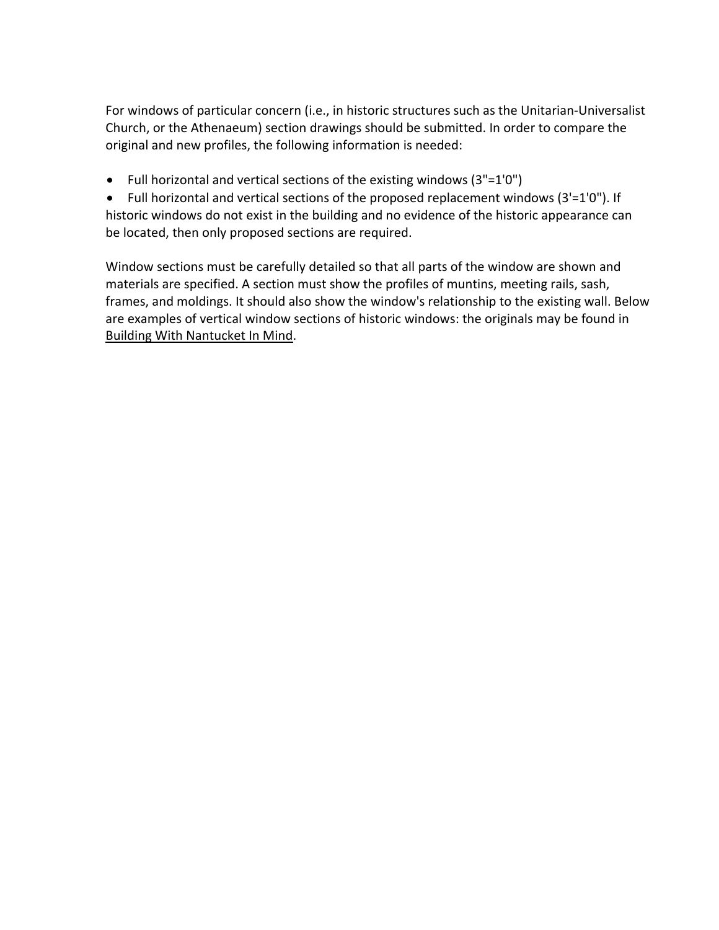For windows of particular concern (i.e., in historic structures such as the Unitarian‐Universalist Church, or the Athenaeum) section drawings should be submitted. In order to compare the original and new profiles, the following information is needed:

• Full horizontal and vertical sections of the existing windows (3"=1'0")

• Full horizontal and vertical sections of the proposed replacement windows (3'=1'0"). If historic windows do not exist in the building and no evidence of the historic appearance can be located, then only proposed sections are required.

Window sections must be carefully detailed so that all parts of the window are shown and materials are specified. A section must show the profiles of muntins, meeting rails, sash, frames, and moldings. It should also show the window's relationship to the existing wall. Below are examples of vertical window sections of historic windows: the originals may be found in Building With Nantucket In Mind.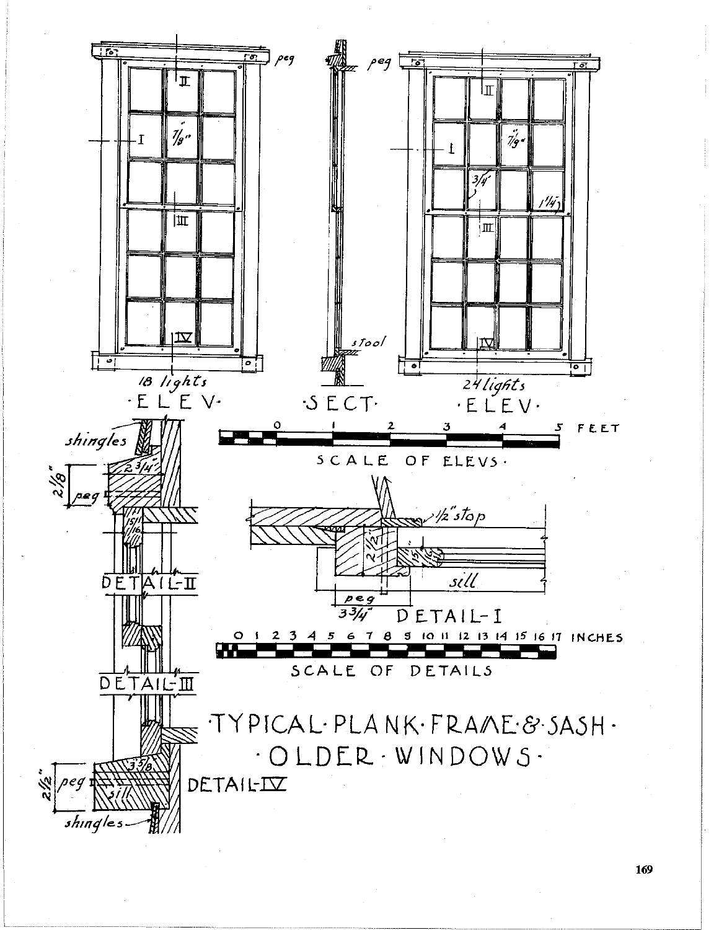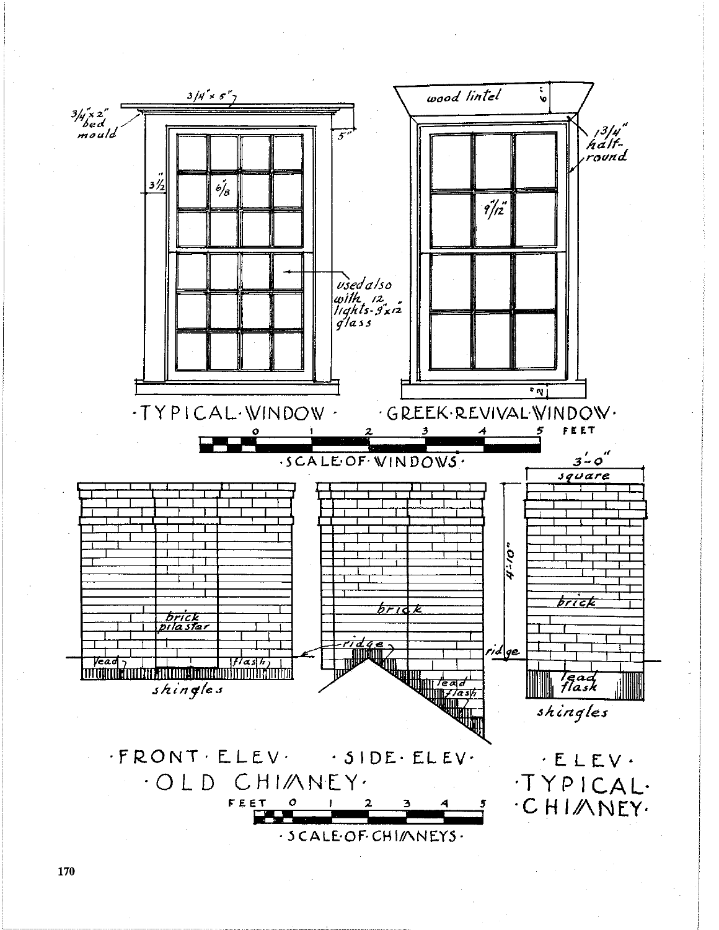